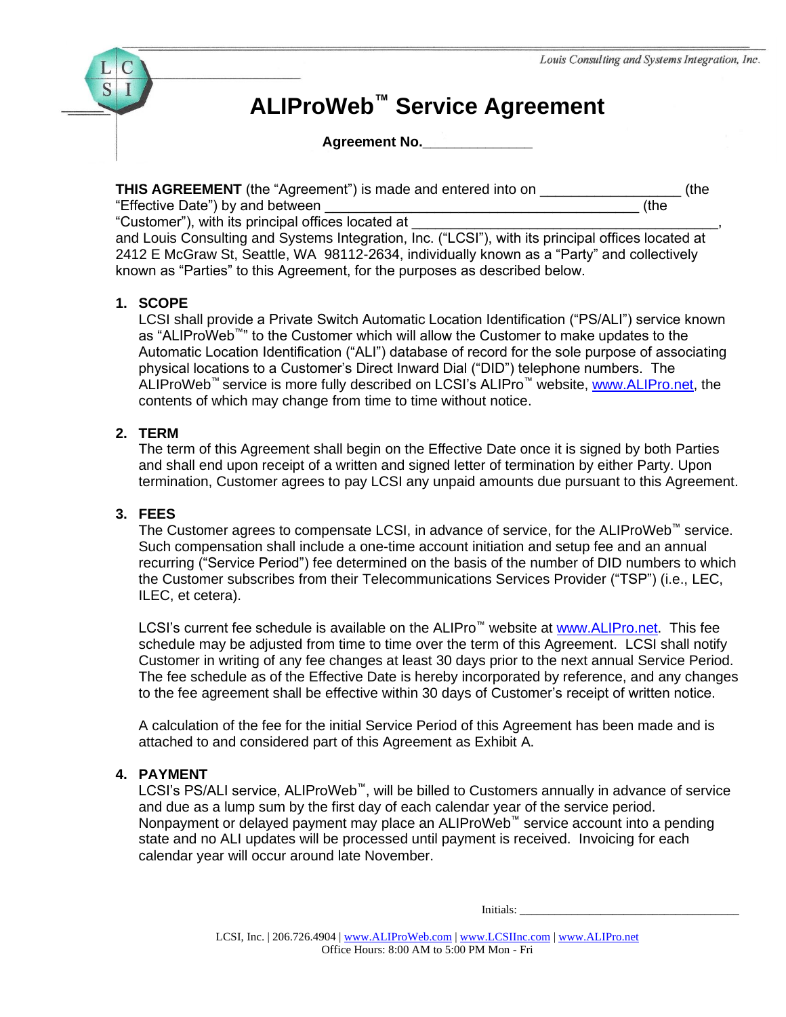

# **ALIProWeb™ Service Agreement**

**Agreement No.\_\_\_\_\_\_\_\_\_\_\_\_\_\_**

**THIS AGREEMENT** (the "Agreement") is made and entered into on  $($ the "Effective Date") by and between **Example 20** (the

"Customer"), with its principal offices located at

and Louis Consulting and Systems Integration, Inc. ("LCSI"), with its principal offices located at 2412 E McGraw St, Seattle, WA 98112-2634, individually known as a "Party" and collectively known as "Parties" to this Agreement, for the purposes as described below.

### **1. SCOPE**

LCSI shall provide a Private Switch Automatic Location Identification ("PS/ALI") service known as "ALIProWeb™" to the Customer which will allow the Customer to make updates to the Automatic Location Identification ("ALI") database of record for the sole purpose of associating physical locations to a Customer's Direct Inward Dial ("DID") telephone numbers. The ALIProWeb™ service is more fully described on LCSI's ALIPro™ website, [www.ALIPro.net,](http://www.alipro.net/) the contents of which may change from time to time without notice.

### **2. TERM**

The term of this Agreement shall begin on the Effective Date once it is signed by both Parties and shall end upon receipt of a written and signed letter of termination by either Party. Upon termination, Customer agrees to pay LCSI any unpaid amounts due pursuant to this Agreement.

### **3. FEES**

The Customer agrees to compensate LCSI, in advance of service, for the ALIProWeb™ service. Such compensation shall include a one-time account initiation and setup fee and an annual recurring ("Service Period") fee determined on the basis of the number of DID numbers to which the Customer subscribes from their Telecommunications Services Provider ("TSP") (i.e., LEC, ILEC, et cetera).

LCSI's current fee schedule is available on the ALIPro<sup>™</sup> website at [www.ALIPro.net.](http://www.alipro.net/) This fee schedule may be adjusted from time to time over the term of this Agreement. LCSI shall notify Customer in writing of any fee changes at least 30 days prior to the next annual Service Period. The fee schedule as of the Effective Date is hereby incorporated by reference, and any changes to the fee agreement shall be effective within 30 days of Customer's receipt of written notice.

A calculation of the fee for the initial Service Period of this Agreement has been made and is attached to and considered part of this Agreement as Exhibit A.

### **4. PAYMENT**

LCSI's PS/ALI service, ALIProWeb™, will be billed to Customers annually in advance of service and due as a lump sum by the first day of each calendar year of the service period. Nonpayment or delayed payment may place an ALIProWeb™ service account into a pending state and no ALI updates will be processed until payment is received. Invoicing for each calendar year will occur around late November.

Initials: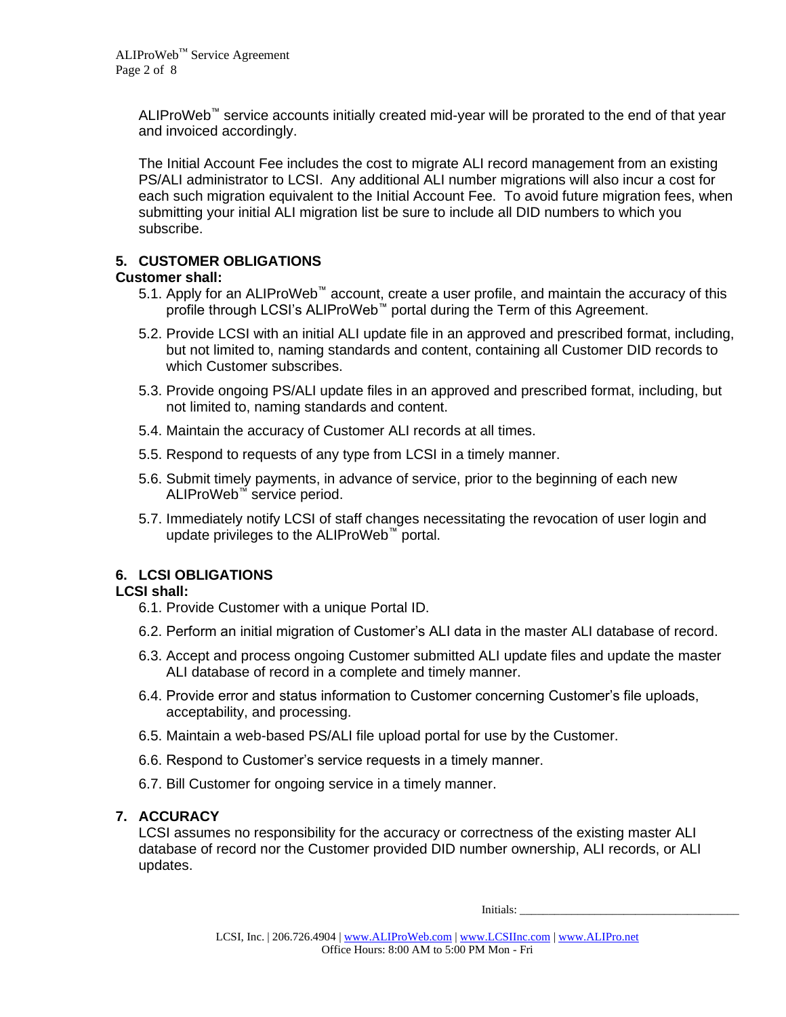ALIProWeb™ service accounts initially created mid-year will be prorated to the end of that year and invoiced accordingly.

The Initial Account Fee includes the cost to migrate ALI record management from an existing PS/ALI administrator to LCSI. Any additional ALI number migrations will also incur a cost for each such migration equivalent to the Initial Account Fee. To avoid future migration fees, when submitting your initial ALI migration list be sure to include all DID numbers to which you subscribe.

### **5. CUSTOMER OBLIGATIONS**

### **Customer shall:**

- 5.1. Apply for an ALIProWeb™ account, create a user profile, and maintain the accuracy of this profile through LCSI's ALIProWeb™ portal during the Term of this Agreement.
- 5.2. Provide LCSI with an initial ALI update file in an approved and prescribed format, including, but not limited to, naming standards and content, containing all Customer DID records to which Customer subscribes.
- 5.3. Provide ongoing PS/ALI update files in an approved and prescribed format, including, but not limited to, naming standards and content.
- 5.4. Maintain the accuracy of Customer ALI records at all times.
- 5.5. Respond to requests of any type from LCSI in a timely manner.
- 5.6. Submit timely payments, in advance of service, prior to the beginning of each new ALIProWeb™ service period.
- 5.7. Immediately notify LCSI of staff changes necessitating the revocation of user login and update privileges to the ALIProWeb™ portal.

### **6. LCSI OBLIGATIONS**

### **LCSI shall:**

- 6.1. Provide Customer with a unique Portal ID.
- 6.2. Perform an initial migration of Customer's ALI data in the master ALI database of record.
- 6.3. Accept and process ongoing Customer submitted ALI update files and update the master ALI database of record in a complete and timely manner.
- 6.4. Provide error and status information to Customer concerning Customer's file uploads, acceptability, and processing.
- 6.5. Maintain a web-based PS/ALI file upload portal for use by the Customer.
- 6.6. Respond to Customer's service requests in a timely manner.
- 6.7. Bill Customer for ongoing service in a timely manner.

### **7. ACCURACY**

LCSI assumes no responsibility for the accuracy or correctness of the existing master ALI database of record nor the Customer provided DID number ownership, ALI records, or ALI updates.

Initials: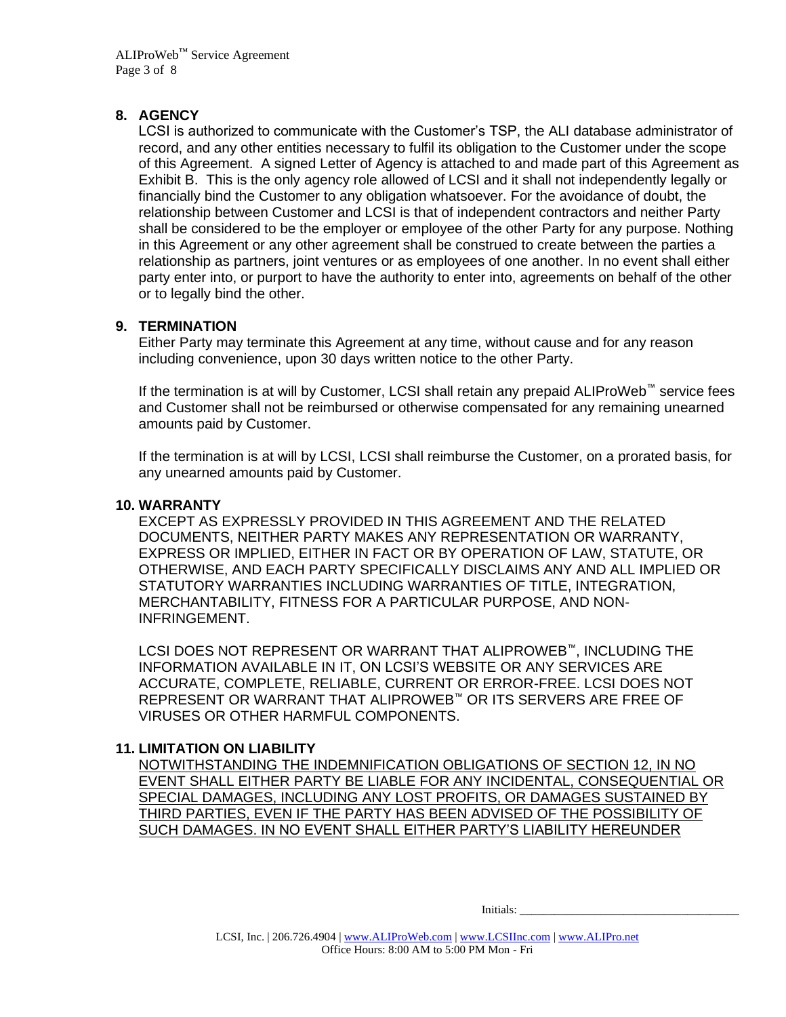#### **8. AGENCY**

LCSI is authorized to communicate with the Customer's TSP, the ALI database administrator of record, and any other entities necessary to fulfil its obligation to the Customer under the scope of this Agreement. A signed Letter of Agency is attached to and made part of this Agreement as Exhibit B. This is the only agency role allowed of LCSI and it shall not independently legally or financially bind the Customer to any obligation whatsoever. For the avoidance of doubt, the relationship between Customer and LCSI is that of independent contractors and neither Party shall be considered to be the employer or employee of the other Party for any purpose. Nothing in this Agreement or any other agreement shall be construed to create between the parties a relationship as partners, joint ventures or as employees of one another. In no event shall either party enter into, or purport to have the authority to enter into, agreements on behalf of the other or to legally bind the other.

#### **9. TERMINATION**

Either Party may terminate this Agreement at any time, without cause and for any reason including convenience, upon 30 days written notice to the other Party.

If the termination is at will by Customer, LCSI shall retain any prepaid ALIProWeb™ service fees and Customer shall not be reimbursed or otherwise compensated for any remaining unearned amounts paid by Customer.

If the termination is at will by LCSI, LCSI shall reimburse the Customer, on a prorated basis, for any unearned amounts paid by Customer.

#### **10. WARRANTY**

EXCEPT AS EXPRESSLY PROVIDED IN THIS AGREEMENT AND THE RELATED DOCUMENTS, NEITHER PARTY MAKES ANY REPRESENTATION OR WARRANTY, EXPRESS OR IMPLIED, EITHER IN FACT OR BY OPERATION OF LAW, STATUTE, OR OTHERWISE, AND EACH PARTY SPECIFICALLY DISCLAIMS ANY AND ALL IMPLIED OR STATUTORY WARRANTIES INCLUDING WARRANTIES OF TITLE, INTEGRATION, MERCHANTABILITY, FITNESS FOR A PARTICULAR PURPOSE, AND NON-INFRINGEMENT.

LCSI DOES NOT REPRESENT OR WARRANT THAT ALIPROWEB™, INCLUDING THE INFORMATION AVAILABLE IN IT, ON LCSI'S WEBSITE OR ANY SERVICES ARE ACCURATE, COMPLETE, RELIABLE, CURRENT OR ERROR-FREE. LCSI DOES NOT REPRESENT OR WARRANT THAT ALIPROWEB™ OR ITS SERVERS ARE FREE OF VIRUSES OR OTHER HARMFUL COMPONENTS.

### **11. LIMITATION ON LIABILITY**

NOTWITHSTANDING THE INDEMNIFICATION OBLIGATIONS OF SECTION 12, IN NO EVENT SHALL EITHER PARTY BE LIABLE FOR ANY INCIDENTAL, CONSEQUENTIAL OR SPECIAL DAMAGES, INCLUDING ANY LOST PROFITS, OR DAMAGES SUSTAINED BY THIRD PARTIES, EVEN IF THE PARTY HAS BEEN ADVISED OF THE POSSIBILITY OF SUCH DAMAGES. IN NO EVENT SHALL EITHER PARTY'S LIABILITY HEREUNDER

Initials: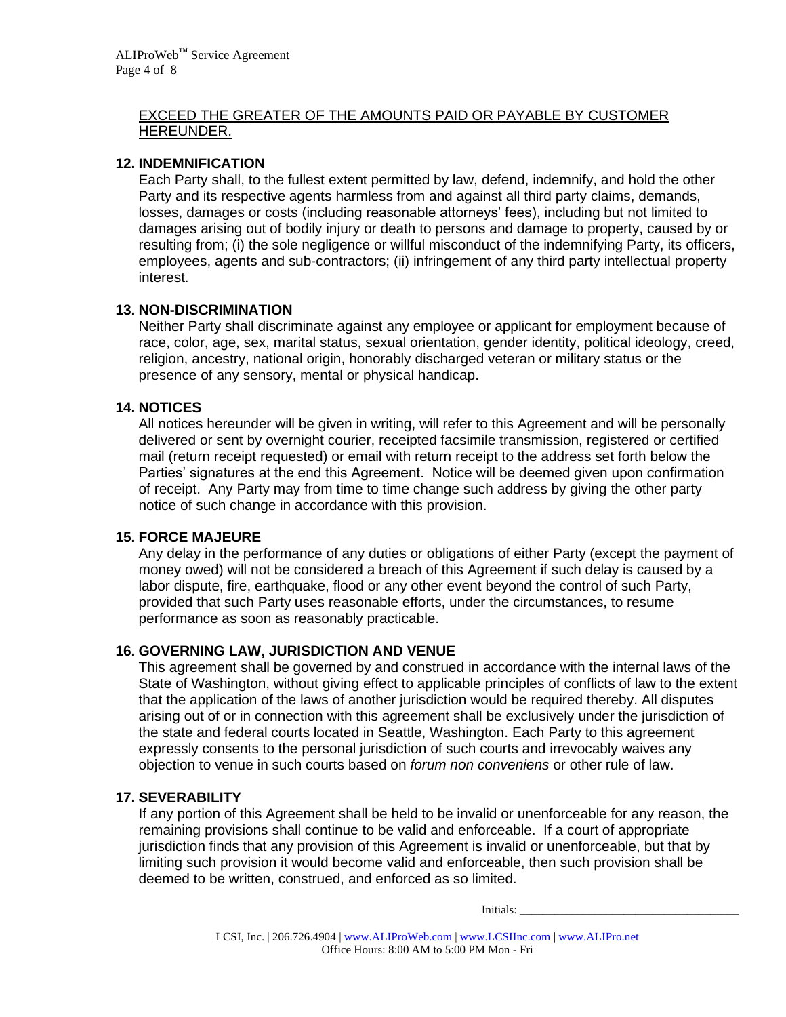#### EXCEED THE GREATER OF THE AMOUNTS PAID OR PAYABLE BY CUSTOMER HEREUNDER.

#### **12. INDEMNIFICATION**

Each Party shall, to the fullest extent permitted by law, defend, indemnify, and hold the other Party and its respective agents harmless from and against all third party claims, demands, losses, damages or costs (including reasonable attorneys' fees), including but not limited to damages arising out of bodily injury or death to persons and damage to property, caused by or resulting from; (i) the sole negligence or willful misconduct of the indemnifying Party, its officers, employees, agents and sub-contractors; (ii) infringement of any third party intellectual property interest.

### **13. NON-DISCRIMINATION**

Neither Party shall discriminate against any employee or applicant for employment because of race, color, age, sex, marital status, sexual orientation, gender identity, political ideology, creed, religion, ancestry, national origin, honorably discharged veteran or military status or the presence of any sensory, mental or physical handicap.

#### **14. NOTICES**

All notices hereunder will be given in writing, will refer to this Agreement and will be personally delivered or sent by overnight courier, receipted facsimile transmission, registered or certified mail (return receipt requested) or email with return receipt to the address set forth below the Parties' signatures at the end this Agreement. Notice will be deemed given upon confirmation of receipt. Any Party may from time to time change such address by giving the other party notice of such change in accordance with this provision.

### **15. FORCE MAJEURE**

Any delay in the performance of any duties or obligations of either Party (except the payment of money owed) will not be considered a breach of this Agreement if such delay is caused by a labor dispute, fire, earthquake, flood or any other event beyond the control of such Party, provided that such Party uses reasonable efforts, under the circumstances, to resume performance as soon as reasonably practicable.

### **16. GOVERNING LAW, JURISDICTION AND VENUE**

This agreement shall be governed by and construed in accordance with the internal laws of the State of Washington, without giving effect to applicable principles of conflicts of law to the extent that the application of the laws of another jurisdiction would be required thereby. All disputes arising out of or in connection with this agreement shall be exclusively under the jurisdiction of the state and federal courts located in Seattle, Washington. Each Party to this agreement expressly consents to the personal jurisdiction of such courts and irrevocably waives any objection to venue in such courts based on *forum non conveniens* or other rule of law.

### **17. SEVERABILITY**

If any portion of this Agreement shall be held to be invalid or unenforceable for any reason, the remaining provisions shall continue to be valid and enforceable. If a court of appropriate jurisdiction finds that any provision of this Agreement is invalid or unenforceable, but that by limiting such provision it would become valid and enforceable, then such provision shall be deemed to be written, construed, and enforced as so limited.

Initials: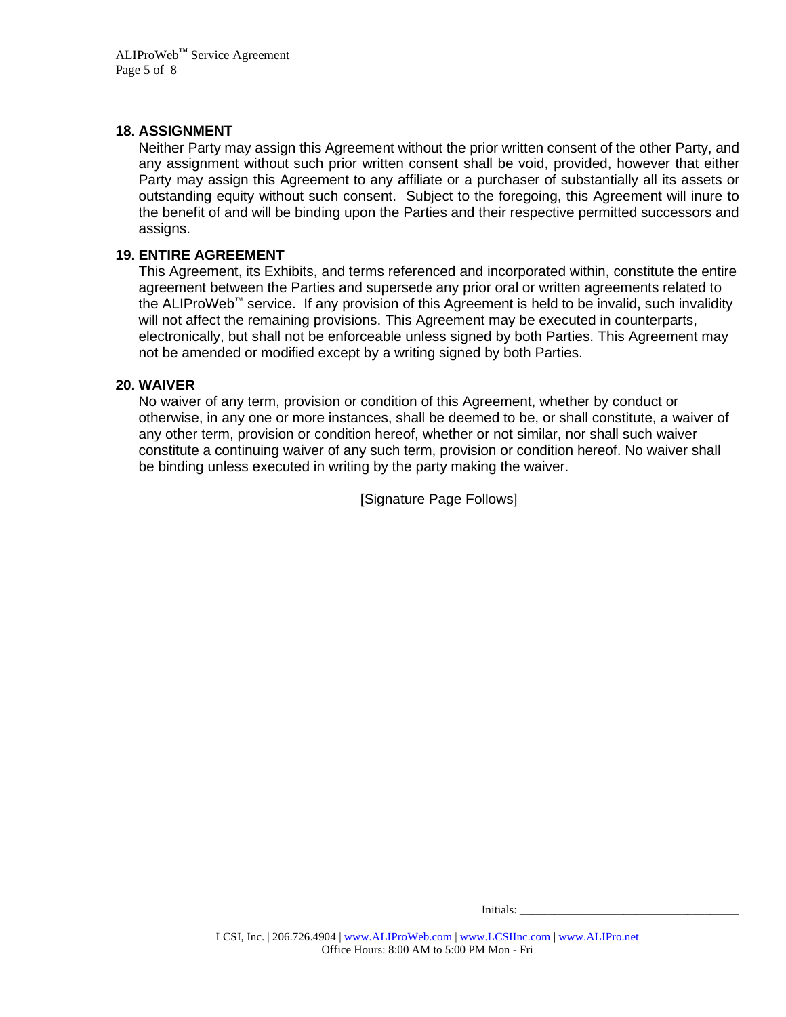#### **18. ASSIGNMENT**

Neither Party may assign this Agreement without the prior written consent of the other Party, and any assignment without such prior written consent shall be void, provided, however that either Party may assign this Agreement to any affiliate or a purchaser of substantially all its assets or outstanding equity without such consent. Subject to the foregoing, this Agreement will inure to the benefit of and will be binding upon the Parties and their respective permitted successors and assigns.

#### **19. ENTIRE AGREEMENT**

This Agreement, its Exhibits, and terms referenced and incorporated within, constitute the entire agreement between the Parties and supersede any prior oral or written agreements related to the ALIProWeb™ service. If any provision of this Agreement is held to be invalid, such invalidity will not affect the remaining provisions. This Agreement may be executed in counterparts, electronically, but shall not be enforceable unless signed by both Parties. This Agreement may not be amended or modified except by a writing signed by both Parties.

#### **20. WAIVER**

No waiver of any term, provision or condition of this Agreement, whether by conduct or otherwise, in any one or more instances, shall be deemed to be, or shall constitute, a waiver of any other term, provision or condition hereof, whether or not similar, nor shall such waiver constitute a continuing waiver of any such term, provision or condition hereof. No waiver shall be binding unless executed in writing by the party making the waiver.

[Signature Page Follows]

Initials: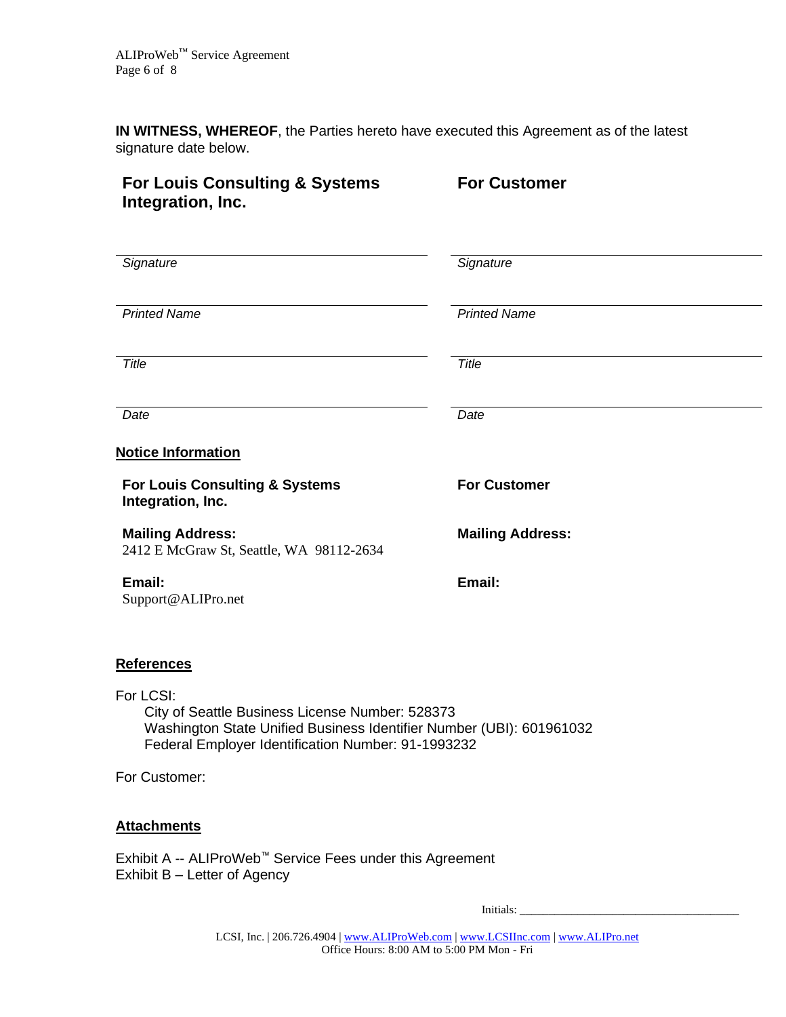**IN WITNESS, WHEREOF**, the Parties hereto have executed this Agreement as of the latest signature date below.

## **For Louis Consulting & Systems Integration, Inc.**

**For Customer**

| Signature                                                                                                                                                                                                                                                                                                                                                             | Signature               |
|-----------------------------------------------------------------------------------------------------------------------------------------------------------------------------------------------------------------------------------------------------------------------------------------------------------------------------------------------------------------------|-------------------------|
| <b>Printed Name</b>                                                                                                                                                                                                                                                                                                                                                   | <b>Printed Name</b>     |
| Title                                                                                                                                                                                                                                                                                                                                                                 | Title                   |
| Date                                                                                                                                                                                                                                                                                                                                                                  | Date                    |
| <b>Notice Information</b>                                                                                                                                                                                                                                                                                                                                             |                         |
| For Louis Consulting & Systems<br>Integration, Inc.                                                                                                                                                                                                                                                                                                                   | <b>For Customer</b>     |
| <b>Mailing Address:</b><br>2412 E McGraw St, Seattle, WA 98112-2634                                                                                                                                                                                                                                                                                                   | <b>Mailing Address:</b> |
| Email:<br>Support@ALIPro.net                                                                                                                                                                                                                                                                                                                                          | Email:                  |
| <b>References</b>                                                                                                                                                                                                                                                                                                                                                     |                         |
| For LCSI:<br>City of Seattle Business License Number: 528373<br>Washington State Unified Business Identifier Number (UBI): 601961032<br>Federal Employer Identification Number: 91-1993232                                                                                                                                                                            |                         |
| For Customer:                                                                                                                                                                                                                                                                                                                                                         |                         |
| <u>Attachments</u>                                                                                                                                                                                                                                                                                                                                                    |                         |
| $\Gamma$ <sub>vkik</sub> it $\Lambda$ $\Lambda$ $\Gamma$ $\Gamma$ $\mathbb{R}$ <sup>M</sup> $\Gamma$ $\mathbb{R}$ $\mathbb{R}$ $\Gamma$ $\mathbb{R}$ $\mathbb{R}$ $\Gamma$ $\mathbb{R}$ $\mathbb{R}$ $\Gamma$ $\mathbb{R}$ $\mathbb{R}$ $\mathbb{R}$ $\mathbb{R}$ $\mathbb{R}$ $\Gamma$ $\mathbb{R}$ $\mathbb{R}$ $\mathbb{R}$ $\mathbb{R}$ $\mathbb{R}$ $\mathbb{R}$ |                         |

Exhibit A -- ALIProWeb™ Service Fees under this Agreement Exhibit B – Letter of Agency

Initials: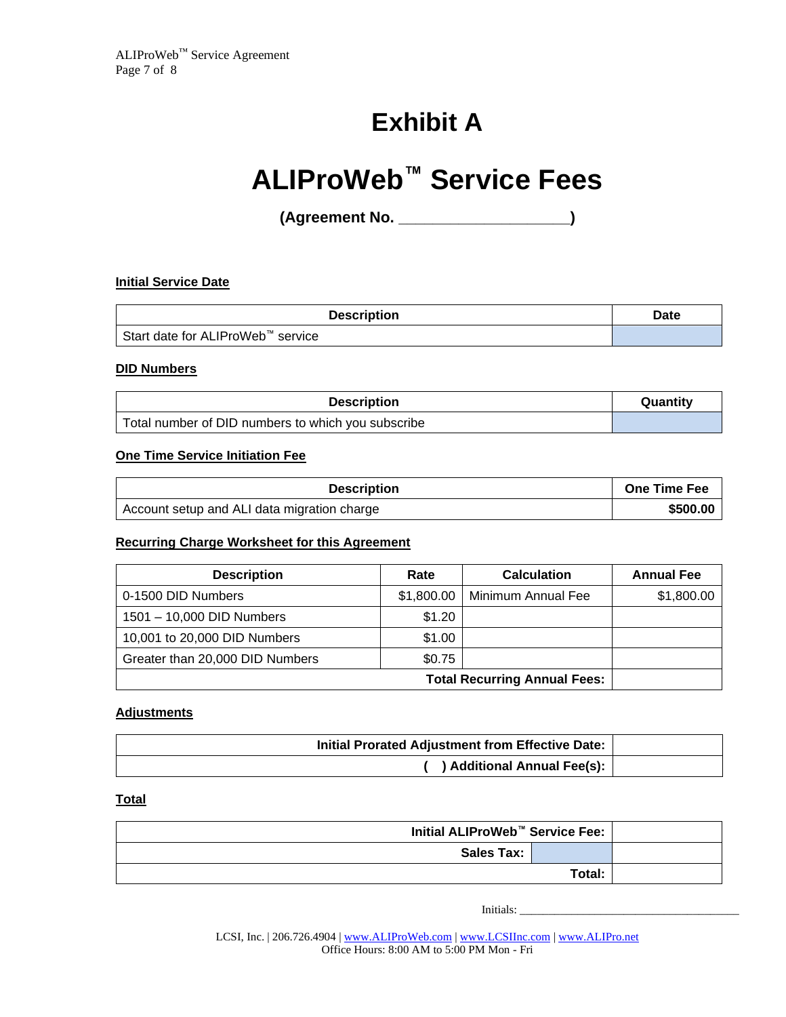# **Exhibit A**

# **ALIProWeb™ Service Fees**

**(Agreement No. \_\_\_\_\_\_\_\_\_\_\_\_\_\_\_\_\_\_\_\_)**

#### **Initial Service Date**

| <b>Description</b>                            | Date |
|-----------------------------------------------|------|
| Start date for ALIProWeb <sup>™</sup> service |      |

#### **DID Numbers**

| <b>Description</b>                                 | Quantity |
|----------------------------------------------------|----------|
| Total number of DID numbers to which you subscribe |          |

#### **One Time Service Initiation Fee**

| <b>Description</b>                          | <b>One Time Fee</b> |
|---------------------------------------------|---------------------|
| Account setup and ALI data migration charge | \$500.00            |

#### **Recurring Charge Worksheet for this Agreement**

| <b>Description</b>                  | Rate       | <b>Calculation</b> | <b>Annual Fee</b> |
|-------------------------------------|------------|--------------------|-------------------|
| 0-1500 DID Numbers                  | \$1,800.00 | Minimum Annual Fee | \$1,800.00        |
| 1501 - 10,000 DID Numbers           | \$1.20     |                    |                   |
| 10,001 to 20,000 DID Numbers        | \$1.00     |                    |                   |
| Greater than 20,000 DID Numbers     | \$0.75     |                    |                   |
| <b>Total Recurring Annual Fees:</b> |            |                    |                   |

#### **Adjustments**

| Initial Prorated Adjustment from Effective Date: |  |
|--------------------------------------------------|--|
| ) Additional Annual Fee(s):                      |  |

#### **Total**

| Initial ALIProWeb <sup>™</sup> Service Fee: |  |  |
|---------------------------------------------|--|--|
| <b>Sales Tax:</b>                           |  |  |
| Total:                                      |  |  |

Initials: \_\_\_\_\_\_\_\_\_\_\_\_\_\_\_\_\_\_\_\_\_\_\_\_\_\_\_\_\_\_\_\_\_\_\_\_\_\_